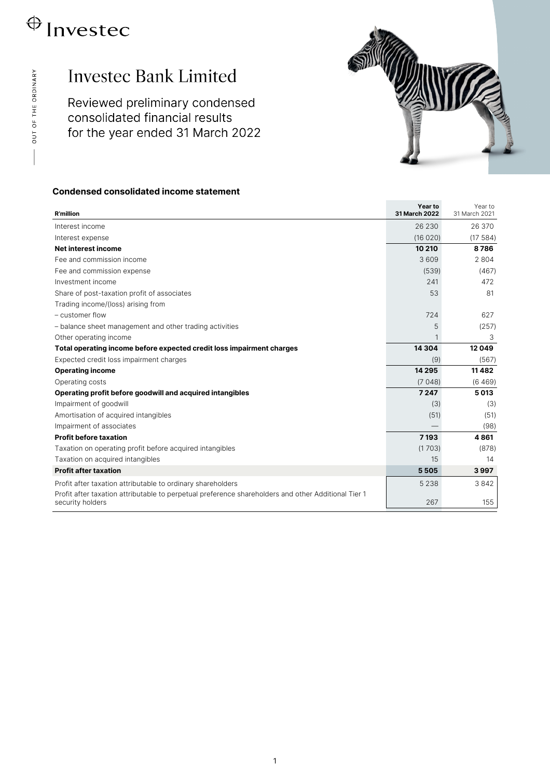# $\bigoplus$  Investec

## **Investec Bank Limited**

Reviewed preliminary condensed consolidated financial results for the year ended 31 March 2022



### **Condensed consolidated income statement**

| <b>R'million</b>                                                                                                                                                   | Year to<br>31 March 2022 | Year to<br>31 March 2021 |
|--------------------------------------------------------------------------------------------------------------------------------------------------------------------|--------------------------|--------------------------|
| Interest income                                                                                                                                                    | 26 230                   | 26 370                   |
| Interest expense                                                                                                                                                   | (16020)                  | (17584)                  |
| Net interest income                                                                                                                                                | 10 210                   | 8786                     |
| Fee and commission income                                                                                                                                          | 3609                     | 2 8 0 4                  |
| Fee and commission expense                                                                                                                                         | (539)                    | (467)                    |
| Investment income                                                                                                                                                  | 241                      | 472                      |
| Share of post-taxation profit of associates                                                                                                                        | 53                       | 81                       |
| Trading income/(loss) arising from                                                                                                                                 |                          |                          |
| - customer flow                                                                                                                                                    | 724                      | 627                      |
| - balance sheet management and other trading activities                                                                                                            | 5                        | (257)                    |
| Other operating income                                                                                                                                             | $\mathbf{1}$             | 3                        |
| Total operating income before expected credit loss impairment charges                                                                                              | 14 3 04                  | 12049                    |
| Expected credit loss impairment charges                                                                                                                            | (9)                      | (567)                    |
| <b>Operating income</b>                                                                                                                                            | 14 2 9 5                 | 11482                    |
| Operating costs                                                                                                                                                    | (7048)                   | (6469)                   |
| Operating profit before goodwill and acquired intangibles                                                                                                          | 7 2 4 7                  | 5013                     |
| Impairment of goodwill                                                                                                                                             | (3)                      | (3)                      |
| Amortisation of acquired intangibles                                                                                                                               | (51)                     | (51)                     |
| Impairment of associates                                                                                                                                           |                          | (98)                     |
| <b>Profit before taxation</b>                                                                                                                                      | 7193                     | 4861                     |
| Taxation on operating profit before acquired intangibles                                                                                                           | (1703)                   | (878)                    |
| Taxation on acquired intangibles                                                                                                                                   | 15                       | 14                       |
| <b>Profit after taxation</b>                                                                                                                                       | 5505                     | 3997                     |
| Profit after taxation attributable to ordinary shareholders<br>Profit after taxation attributable to perpetual preference shareholders and other Additional Tier 1 | 5 2 3 8                  | 3842                     |
| security holders                                                                                                                                                   | 267                      | 155                      |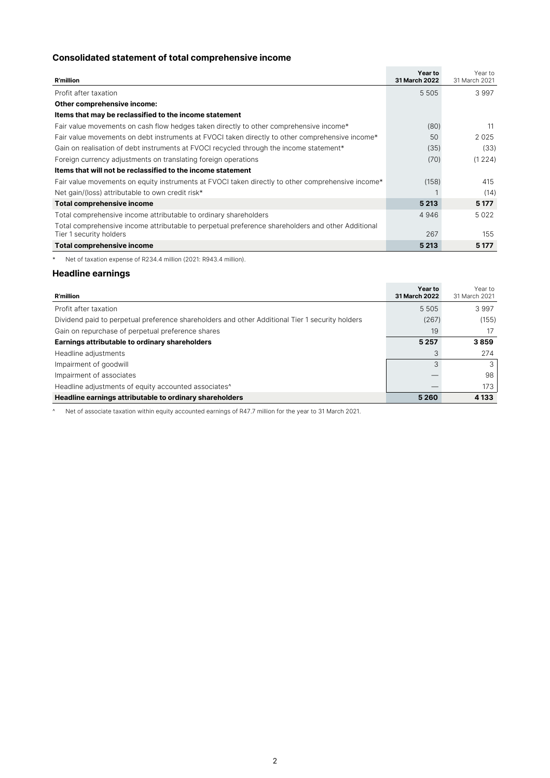### **Consolidated statement of total comprehensive income**

| <b>R'million</b>                                                                                  | Year to<br>31 March 2022 | Year to<br>31 March 2021 |
|---------------------------------------------------------------------------------------------------|--------------------------|--------------------------|
| Profit after taxation                                                                             | 5 5 0 5                  | 3 9 9 7                  |
| Other comprehensive income:                                                                       |                          |                          |
| Items that may be reclassified to the income statement                                            |                          |                          |
| Fair value movements on cash flow hedges taken directly to other comprehensive income*            | (80)                     | 11                       |
| Fair value movements on debt instruments at FVOCI taken directly to other comprehensive income*   | 50                       | 2025                     |
| Gain on realisation of debt instruments at FVOCI recycled through the income statement*           | (35)                     | (33)                     |
| Foreign currency adjustments on translating foreign operations                                    | (70)                     | (1224)                   |
| Items that will not be reclassified to the income statement                                       |                          |                          |
| Fair value movements on equity instruments at FVOCI taken directly to other comprehensive income* | (158)                    | 415                      |
| Net gain/(loss) attributable to own credit risk*                                                  |                          | (14)                     |
| <b>Total comprehensive income</b>                                                                 | 5 2 1 3                  | 5 1 7 7                  |
| Total comprehensive income attributable to ordinary shareholders                                  | 4946                     | 5022                     |
| Total comprehensive income attributable to perpetual preference shareholders and other Additional |                          |                          |
| Tier 1 security holders                                                                           | 267                      | 155                      |
| <b>Total comprehensive income</b>                                                                 | 5 2 1 3                  | 5 1 7 7                  |

\* Net of taxation expense of R234.4 million (2021: R943.4 million).

### **Headline earnings**

| <b>R'million</b>                                                                                | Year to<br>31 March 2022 | Year to<br>31 March 2021 |
|-------------------------------------------------------------------------------------------------|--------------------------|--------------------------|
| Profit after taxation                                                                           | 5 5 0 5                  | 3997                     |
| Dividend paid to perpetual preference shareholders and other Additional Tier 1 security holders | (267)                    | (155)                    |
| Gain on repurchase of perpetual preference shares                                               | 19                       | 17                       |
| Earnings attributable to ordinary shareholders                                                  |                          | 3859                     |
| Headline adjustments                                                                            | 3                        | 274                      |
| Impairment of goodwill                                                                          | 3                        | 3                        |
| Impairment of associates                                                                        |                          | 98                       |
| Headline adjustments of equity accounted associates <sup>^</sup>                                |                          | 173                      |
| Headline earnings attributable to ordinary shareholders                                         | 5 2 6 0                  | 4 1 3 3                  |

^ Net of associate taxation within equity accounted earnings of R47.7 million for the year to 31 March 2021.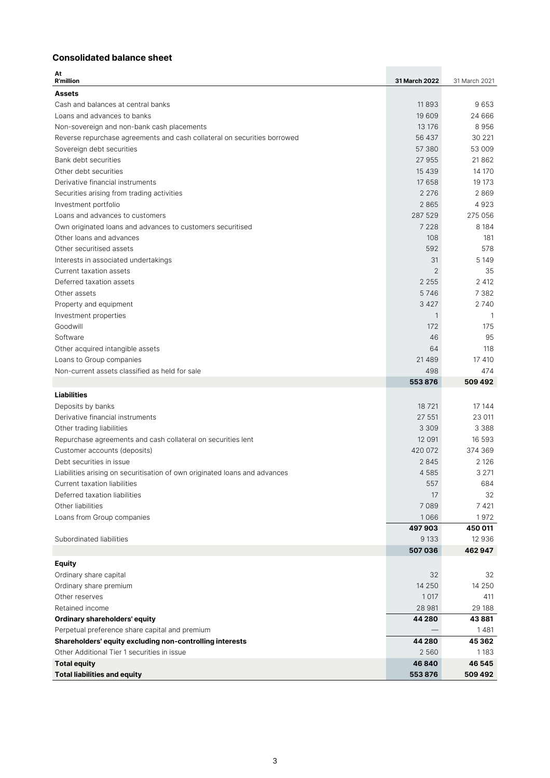### **Consolidated balance sheet**

| At<br><b>R'million</b>                                                     | 31 March 2022  | 31 March 2021 |
|----------------------------------------------------------------------------|----------------|---------------|
| <b>Assets</b>                                                              |                |               |
| Cash and balances at central banks                                         | 11893          | 9653          |
| Loans and advances to banks                                                | 19 609         | 24 666        |
| Non-sovereign and non-bank cash placements                                 | 13 176         | 8956          |
| Reverse repurchase agreements and cash collateral on securities borrowed   | 56 437         | 30 221        |
| Sovereign debt securities                                                  | 57 380         | 53 009        |
| Bank debt securities                                                       | 27 955         | 21862         |
| Other debt securities                                                      | 15 4 3 9       | 14 170        |
| Derivative financial instruments                                           | 17 658         | 19 17 3       |
| Securities arising from trading activities                                 | 2 2 7 6        | 2869          |
| Investment portfolio                                                       | 2865           | 4923          |
| Loans and advances to customers                                            | 287 529        | 275 056       |
| Own originated loans and advances to customers securitised                 | 7 2 2 8        | 8 1 8 4       |
| Other loans and advances                                                   | 108            | 181           |
| Other securitised assets                                                   | 592            | 578           |
| Interests in associated undertakings                                       | 31             | 5 1 4 9       |
| Current taxation assets                                                    | $\overline{2}$ | 35            |
| Deferred taxation assets                                                   | 2 2 5 5        | 2 4 1 2       |
| Other assets                                                               | 5746           | 7 3 8 2       |
| Property and equipment                                                     | 3 4 2 7        | 2740          |
| Investment properties                                                      | 1              | 1             |
| Goodwill                                                                   | 172            | 175           |
| Software                                                                   | 46             | 95            |
| Other acquired intangible assets                                           | 64             | 118           |
| Loans to Group companies                                                   | 21 4 8 9       | 17 410        |
| Non-current assets classified as held for sale                             | 498            | 474           |
|                                                                            | 553876         | 509 492       |
| <b>Liabilities</b>                                                         |                |               |
| Deposits by banks                                                          | 18721          | 17 144        |
| Derivative financial instruments                                           | 27 551         | 23 011        |
| Other trading liabilities                                                  | 3 3 0 9        | 3 3 8 8       |
| Repurchase agreements and cash collateral on securities lent               | 12 091         | 16 593        |
| Customer accounts (deposits)                                               | 420 072        | 374 369       |
| Debt securities in issue                                                   | 2845           | 2 1 2 6       |
| Liabilities arising on securitisation of own originated loans and advances | 4 5 8 5        | 3 2 7 1       |
| Current taxation liabilities                                               | 557            | 684           |
| Deferred taxation liabilities                                              | 17             | 32            |
| Other liabilities                                                          | 7 0 8 9        | 7 4 21        |
| Loans from Group companies                                                 | 1066           | 1972          |
|                                                                            | 497903         | 450 011       |
| Subordinated liabilities                                                   | 9 1 3 3        | 12 936        |
|                                                                            | 507036         | 462947        |
| <b>Equity</b>                                                              |                |               |
| Ordinary share capital                                                     | 32             | 32            |
| Ordinary share premium                                                     | 14 250         | 14 250        |
| Other reserves                                                             | 1017           | 411           |
| Retained income                                                            | 28 981         | 29 188        |
| <b>Ordinary shareholders' equity</b>                                       | 44 280         | 43 881        |
| Perpetual preference share capital and premium                             |                | 1481          |
| Shareholders' equity excluding non-controlling interests                   | 44 280         | 45 362        |
| Other Additional Tier 1 securities in issue                                | 2 5 6 0        | 1183          |
| <b>Total equity</b>                                                        | 46840          | 46 545        |
| <b>Total liabilities and equity</b>                                        | 553876         | 509 492       |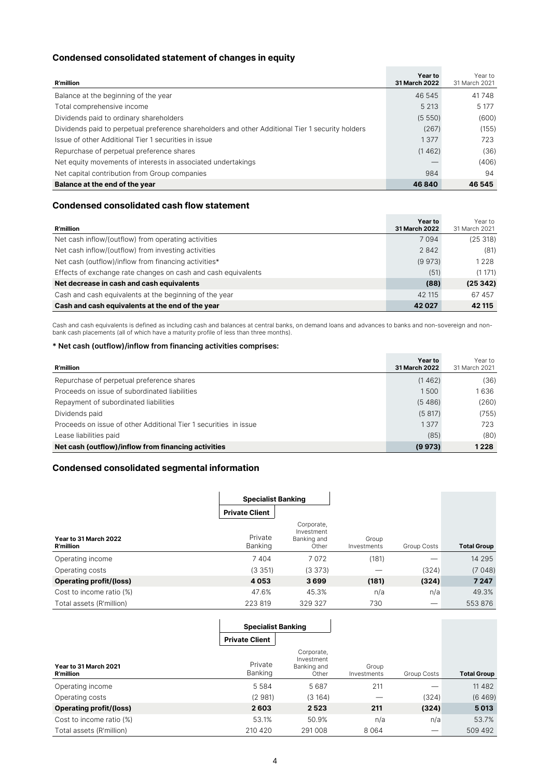### **Condensed consolidated statement of changes in equity**

| <b>R'million</b>                                                                                 | Year to<br>31 March 2022 | Year to<br>31 March 2021 |
|--------------------------------------------------------------------------------------------------|--------------------------|--------------------------|
| Balance at the beginning of the year                                                             | 46 545                   | 41748                    |
| Total comprehensive income                                                                       | 5 2 1 3                  | 5 1 7 7                  |
| Dividends paid to ordinary shareholders                                                          | (5550)                   | (600)                    |
| Dividends paid to perpetual preference shareholders and other Additional Tier 1 security holders | (267)                    | (155)                    |
| Issue of other Additional Tier 1 securities in issue                                             | 1377                     | 723                      |
| Repurchase of perpetual preference shares                                                        | (1462)                   | (36)                     |
| Net equity movements of interests in associated undertakings                                     | __                       | (406)                    |
| Net capital contribution from Group companies                                                    | 984                      | 94                       |
| Balance at the end of the year                                                                   | 46840                    | 46 545                   |

### **Condensed consolidated cash flow statement**

| <b>R'million</b>                                              | Year to<br><b>31 March 2022</b> | Year to<br>31 March 2021 |
|---------------------------------------------------------------|---------------------------------|--------------------------|
| Net cash inflow/(outflow) from operating activities           | 7 0 9 4                         | (25318)                  |
| Net cash inflow/(outflow) from investing activities           | 2842                            | (81)                     |
| Net cash (outflow)/inflow from financing activities*          | (9973)                          | 1 2 2 8                  |
| Effects of exchange rate changes on cash and cash equivalents | (51)                            | (1171)                   |
| Net decrease in cash and cash equivalents                     |                                 | (25342)                  |
| Cash and cash equivalents at the beginning of the year        | 42 115                          | 67 457                   |
| Cash and cash equivalents at the end of the year              | 42 0 27                         | 42 115                   |

Cash and cash equivalents is defined as including cash and balances at central banks, on demand loans and advances to banks and non-sovereign and non-<br>bank cash placements (all of which have a maturity profile of less than

### **\* Net cash (outflow)/inflow from financing activities comprises:**

| <b>R'million</b>                                                 | Year to<br><b>31 March 2022</b> | Year to<br>31 March 2021 |
|------------------------------------------------------------------|---------------------------------|--------------------------|
| Repurchase of perpetual preference shares                        | (1462)                          | (36)                     |
| Proceeds on issue of subordinated liabilities                    | 1500                            | 1636                     |
| Repayment of subordinated liabilities                            | (5, 486)                        | (260)                    |
| Dividends paid                                                   | (5817)                          | (755)                    |
| Proceeds on issue of other Additional Tier 1 securities in issue | 1377                            | 723                      |
| Lease liabilities paid                                           | (85)                            | (80)                     |
| Net cash (outflow)/inflow from financing activities              | (9973)                          | 1 2 2 8                  |

### **Condensed consolidated segmental information**

|                                           | <b>Specialist Banking</b> |                                                  |                      |             |                    |
|-------------------------------------------|---------------------------|--------------------------------------------------|----------------------|-------------|--------------------|
|                                           | <b>Private Client</b>     |                                                  |                      |             |                    |
| Year to 31 March 2022<br><b>R'million</b> | Private<br>Banking        | Corporate,<br>Investment<br>Banking and<br>Other | Group<br>Investments | Group Costs | <b>Total Group</b> |
| Operating income                          | 7404                      | 7072                                             | (181)                | ---         | 14 295             |
| Operating costs                           | (3351)                    | (3373)                                           |                      | (324)       | (7048)             |
| <b>Operating profit/(loss)</b>            | 4053                      | 3699                                             | (181)                | (324)       | 7 2 4 7            |
| Cost to income ratio (%)                  | 47.6%                     | 45.3%                                            | n/a                  | n/a         | 49.3%              |
| Total assets (R'million)                  | 223 819                   | 329 327                                          | 730                  | __          | 553876             |

|                                           | <b>Specialist Banking</b> |                                                  |                      |             |                    |
|-------------------------------------------|---------------------------|--------------------------------------------------|----------------------|-------------|--------------------|
|                                           | <b>Private Client</b>     |                                                  |                      |             |                    |
| Year to 31 March 2021<br><b>R'million</b> | Private<br>Banking        | Corporate,<br>Investment<br>Banking and<br>Other | Group<br>Investments | Group Costs | <b>Total Group</b> |
| Operating income                          | 5 5 8 4                   | 5687                                             | 211                  |             | 11 4 8 2           |
| Operating costs                           | (2981)                    | (3164)                                           |                      | (324)       | (6469)             |
| <b>Operating profit/(loss)</b>            | 2603                      | 2523                                             | 211                  | (324)       | 5013               |
| Cost to income ratio (%)                  | 53.1%                     | 50.9%                                            | n/a                  | n/a         | 53.7%              |
| Total assets (R'million)                  | 210 420                   | 291008                                           | 8 0 6 4              | –           | 509 492            |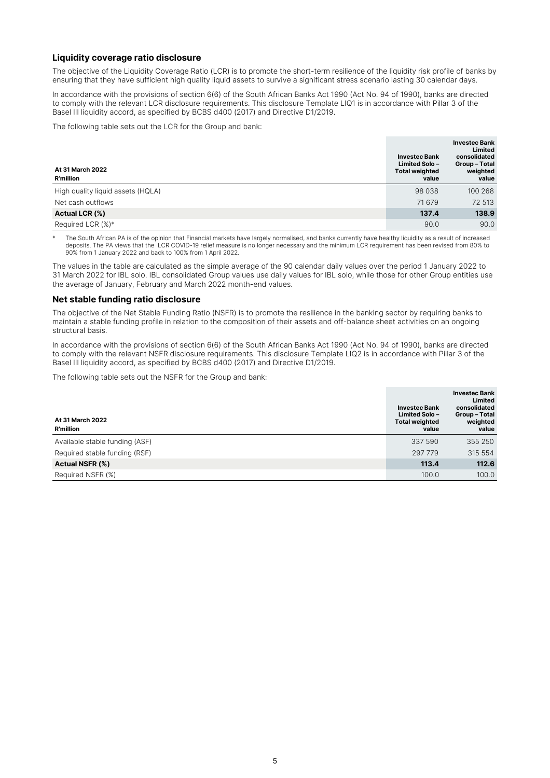### **Liquidity coverage ratio disclosure**

The objective of the Liquidity Coverage Ratio (LCR) is to promote the short-term resilience of the liquidity risk profile of banks by ensuring that they have sufficient high quality liquid assets to survive a significant stress scenario lasting 30 calendar days.

In accordance with the provisions of section 6(6) of the South African Banks Act 1990 (Act No. 94 of 1990), banks are directed to comply with the relevant LCR disclosure requirements. This disclosure Template LIQ1 is in accordance with Pillar 3 of the Basel III liquidity accord, as specified by BCBS d400 (2017) and Directive D1/2019.

The following table sets out the LCR for the Group and bank:

| At 31 March 2022<br><b>R'million</b> | <b>Investec Bank</b><br><b>Limited Solo-</b><br><b>Total weighted</b><br>value | <b>Investec Bank</b><br>Limited<br>consolidated<br>Group-Total<br>weighted<br>value |
|--------------------------------------|--------------------------------------------------------------------------------|-------------------------------------------------------------------------------------|
| High quality liquid assets (HQLA)    | 98 0 38                                                                        | 100 268                                                                             |
| Net cash outflows                    | 71 679                                                                         | 72 513                                                                              |
| <b>Actual LCR (%)</b>                | 137.4                                                                          | 138.9                                                                               |
| Required LCR (%)*                    | 90.0                                                                           | 90.0                                                                                |

The South African PA is of the opinion that Financial markets have largely normalised, and banks currently have healthy liquidity as a result of increased deposits. The PA views that the LCR COVID-19 relief measure is no longer necessary and the minimum LCR requirement has been revised from 80% to 90% from 1 January 2022 and back to 100% from 1 April 2022.

The values in the table are calculated as the simple average of the 90 calendar daily values over the period 1 January 2022 to 31 March 2022 for IBL solo. IBL consolidated Group values use daily values for IBL solo, while those for other Group entities use the average of January, February and March 2022 month-end values.

### **Net stable funding ratio disclosure**

The objective of the Net Stable Funding Ratio (NSFR) is to promote the resilience in the banking sector by requiring banks to maintain a stable funding profile in relation to the composition of their assets and off-balance sheet activities on an ongoing structural basis.

In accordance with the provisions of section 6(6) of the South African Banks Act 1990 (Act No. 94 of 1990), banks are directed to comply with the relevant NSFR disclosure requirements. This disclosure Template LIQ2 is in accordance with Pillar 3 of the Basel III liquidity accord, as specified by BCBS d400 (2017) and Directive D1/2019.

The following table sets out the NSFR for the Group and bank:

| At 31 March 2022<br><b>R'million</b> | <b>Investec Bank</b><br><b>Limited Solo-</b><br><b>Total weighted</b><br>value | <b>Investec Bank</b><br>Limited<br>consolidated<br>Group-Total<br>weighted<br>value |
|--------------------------------------|--------------------------------------------------------------------------------|-------------------------------------------------------------------------------------|
| Available stable funding (ASF)       | 337 590                                                                        | 355 250                                                                             |
| Required stable funding (RSF)        | 297 779                                                                        | 315 554                                                                             |
| <b>Actual NSFR (%)</b>               | 113.4                                                                          | 112.6                                                                               |
| Required NSFR (%)                    | 100.0                                                                          | 100.0                                                                               |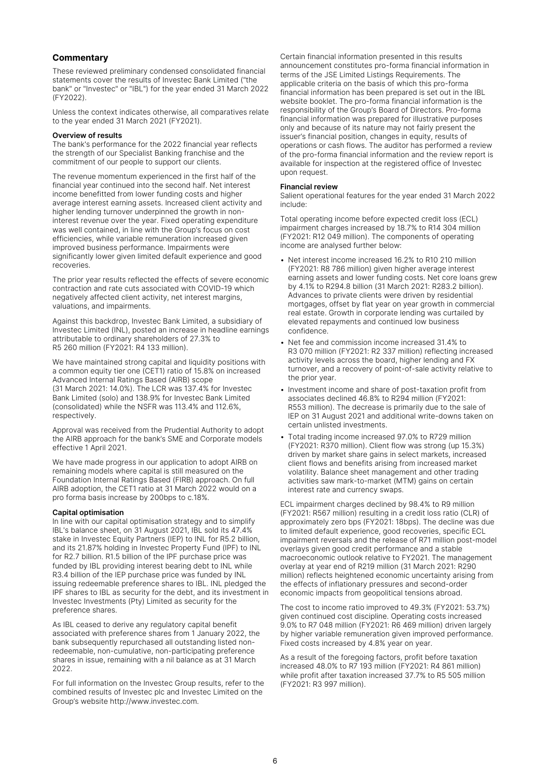### **Commentary**

These reviewed preliminary condensed consolidated financial statements cover the results of Investec Bank Limited ("the bank" or "Investec" or "IBL") for the year ended 31 March 2022 (FY2022).

Unless the context indicates otherwise, all comparatives relate to the year ended 31 March 2021 (FY2021).

#### **Overview of results**

The bank's performance for the 2022 financial year reflects the strength of our Specialist Banking franchise and the commitment of our people to support our clients.

The revenue momentum experienced in the first half of the financial year continued into the second half. Net interest income benefitted from lower funding costs and higher average interest earning assets. Increased client activity and higher lending turnover underpinned the growth in noninterest revenue over the year. Fixed operating expenditure was well contained, in line with the Group's focus on cost efficiencies, while variable remuneration increased given improved business performance. Impairments were significantly lower given limited default experience and good recoveries.

The prior year results reflected the effects of severe economic contraction and rate cuts associated with COVID-19 which negatively affected client activity, net interest margins, valuations, and impairments.

Against this backdrop, Investec Bank Limited, a subsidiary of Investec Limited (INL), posted an increase in headline earnings attributable to ordinary shareholders of 27.3% to R5 260 million (FY2021: R4 133 million).

We have maintained strong capital and liquidity positions with a common equity tier one (CET1) ratio of 15.8% on increased Advanced Internal Ratings Based (AIRB) scope (31 March 2021: 14.0%). The LCR was 137.4% for Investec Bank Limited (solo) and 138.9% for Investec Bank Limited (consolidated) while the NSFR was 113.4% and 112.6%, respectively.

Approval was received from the Prudential Authority to adopt the AIRB approach for the bank's SME and Corporate models effective 1 April 2021.

We have made progress in our application to adopt AIRB on remaining models where capital is still measured on the Foundation Internal Ratings Based (FIRB) approach. On full AIRB adoption, the CET1 ratio at 31 March 2022 would on a pro forma basis increase by 200bps to c.18%.

#### **Capital optimisation**

In line with our capital optimisation strategy and to simplify IBL's balance sheet, on 31 August 2021, IBL sold its 47.4% stake in Investec Equity Partners (IEP) to INL for R5.2 billion, and its 21.87% holding in Investec Property Fund (IPF) to INL for R2.7 billion. R1.5 billion of the IPF purchase price was funded by IBL providing interest bearing debt to INL while R3.4 billion of the IEP purchase price was funded by INL issuing redeemable preference shares to IBL. INL pledged the IPF shares to IBL as security for the debt, and its investment in Investec Investments (Pty) Limited as security for the preference shares.

As IBL ceased to derive any regulatory capital benefit associated with preference shares from 1 January 2022, the bank subsequently repurchased all outstanding listed nonredeemable, non-cumulative, non-participating preference shares in issue, remaining with a nil balance as at 31 March 2022.

For full information on the Investec Group results, refer to the combined results of Investec plc and Investec Limited on the Group's website http://www.investec.com.

Certain financial information presented in this results announcement constitutes pro-forma financial information in terms of the JSE Limited Listings Requirements. The applicable criteria on the basis of which this pro-forma financial information has been prepared is set out in the IBL website booklet. The pro-forma financial information is the responsibility of the Group's Board of Directors. Pro-forma financial information was prepared for illustrative purposes only and because of its nature may not fairly present the issuer's financial position, changes in equity, results of operations or cash flows. The auditor has performed a review of the pro-forma financial information and the review report is available for inspection at the registered office of Investec upon request.

### **Financial review**

Salient operational features for the year ended 31 March 2022 include:

Total operating income before expected credit loss (ECL) impairment charges increased by 18.7% to R14 304 million (FY2021: R12 049 million). The components of operating income are analysed further below:

- Net interest income increased 16.2% to R10 210 million (FY2021: R8 786 million) given higher average interest earning assets and lower funding costs. Net core loans grew by 4.1% to R294.8 billion (31 March 2021: R283.2 billion). Advances to private clients were driven by residential mortgages, offset by flat year on year growth in commercial real estate. Growth in corporate lending was curtailed by elevated repayments and continued low business confidence.
- Net fee and commission income increased 31.4% to R3 070 million (FY2021: R2 337 million) reflecting increased activity levels across the board, higher lending and FX turnover, and a recovery of point-of-sale activity relative to the prior year.
- Investment income and share of post-taxation profit from associates declined 46.8% to R294 million (FY2021: R553 million). The decrease is primarily due to the sale of IEP on 31 August 2021 and additional write-downs taken on certain unlisted investments.
- Total trading income increased 97.0% to R729 million (FY2021: R370 million). Client flow was strong (up 15.3%) driven by market share gains in select markets, increased client flows and benefits arising from increased market volatility. Balance sheet management and other trading activities saw mark-to-market (MTM) gains on certain interest rate and currency swaps.

ECL impairment charges declined by 98.4% to R9 million (FY2021: R567 million) resulting in a credit loss ratio (CLR) of approximately zero bps (FY2021: 18bps). The decline was due to limited default experience, good recoveries, specific ECL impairment reversals and the release of R71 million post-model overlays given good credit performance and a stable macroeconomic outlook relative to FY2021. The management overlay at year end of R219 million (31 March 2021: R290 million) reflects heightened economic uncertainty arising from the effects of inflationary pressures and second-order economic impacts from geopolitical tensions abroad.

The cost to income ratio improved to 49.3% (FY2021: 53.7%) given continued cost discipline. Operating costs increased 9.0% to R7 048 million (FY2021: R6 469 million) driven largely by higher variable remuneration given improved performance. Fixed costs increased by 4.8% year on year.

As a result of the foregoing factors, profit before taxation increased 48.0% to R7 193 million (FY2021: R4 861 million) while profit after taxation increased 37.7% to R5 505 million (FY2021: R3 997 million).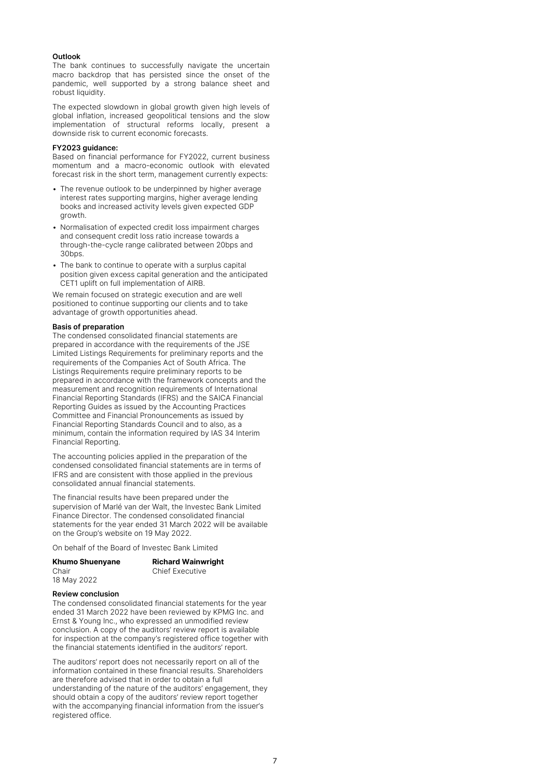### **Outlook**

The bank continues to successfully navigate the uncertain macro backdrop that has persisted since the onset of the pandemic, well supported by a strong balance sheet and robust liquidity.

The expected slowdown in global growth given high levels of global inflation, increased geopolitical tensions and the slow implementation of structural reforms locally, present a downside risk to current economic forecasts.

#### **FY2023 guidance:**

Based on financial performance for FY2022, current business momentum and a macro-economic outlook with elevated forecast risk in the short term, management currently expects:

- The revenue outlook to be underpinned by higher average interest rates supporting margins, higher average lending books and increased activity levels given expected GDP growth.
- Normalisation of expected credit loss impairment charges and consequent credit loss ratio increase towards a through-the-cycle range calibrated between 20bps and 30bps.
- The bank to continue to operate with a surplus capital position given excess capital generation and the anticipated CET1 uplift on full implementation of AIRB.

We remain focused on strategic execution and are well positioned to continue supporting our clients and to take advantage of growth opportunities ahead.

### **Basis of preparation**

The condensed consolidated financial statements are prepared in accordance with the requirements of the JSE Limited Listings Requirements for preliminary reports and the requirements of the Companies Act of South Africa. The Listings Requirements require preliminary reports to be prepared in accordance with the framework concepts and the measurement and recognition requirements of International Financial Reporting Standards (IFRS) and the SAICA Financial Reporting Guides as issued by the Accounting Practices Committee and Financial Pronouncements as issued by Financial Reporting Standards Council and to also, as a minimum, contain the information required by IAS 34 Interim Financial Reporting.

The accounting policies applied in the preparation of the condensed consolidated financial statements are in terms of IFRS and are consistent with those applied in the previous consolidated annual financial statements.

The financial results have been prepared under the supervision of Marlé van der Walt, the Investec Bank Limited Finance Director. The condensed consolidated financial statements for the year ended 31 March 2022 will be available on the Group's website on 19 May 2022.

On behalf of the Board of Investec Bank Limited

| <b>Khumo Shuenyane</b> |  |
|------------------------|--|
| Chair                  |  |
| 18 May 2022            |  |

**Richard Wainwright Chief Executive** 

#### **Review conclusion**

The condensed consolidated financial statements for the year ended 31 March 2022 have been reviewed by KPMG Inc. and Ernst & Young Inc., who expressed an unmodified review conclusion. A copy of the auditors' review report is available for inspection at the company's registered office together with the financial statements identified in the auditors' report.

The auditors' report does not necessarily report on all of the information contained in these financial results. Shareholders are therefore advised that in order to obtain a full understanding of the nature of the auditors' engagement, they should obtain a copy of the auditors' review report together with the accompanying financial information from the issuer's registered office.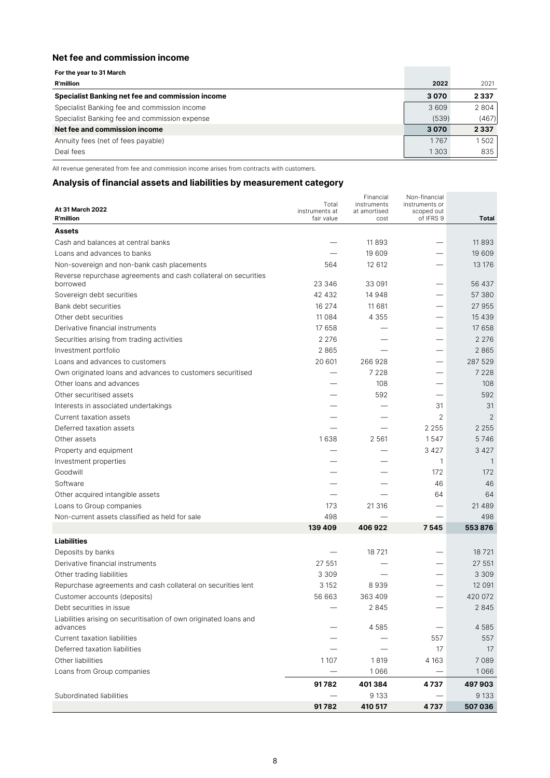### **Net fee and commission income**

| For the year to 31 March                         |       |         |
|--------------------------------------------------|-------|---------|
| <b>R'million</b>                                 | 2022  | 2021    |
| Specialist Banking net fee and commission income | 3070  | 2 3 3 7 |
| Specialist Banking fee and commission income     | 3609  | 2 804   |
| Specialist Banking fee and commission expense    | (539) | (467)   |
| Net fee and commission income                    | 3070  | 2 3 3 7 |
| Annuity fees (net of fees payable)               | 1767  | 1502    |
| Deal fees                                        | 1303  | 835     |

All revenue generated from fee and commission income arises from contracts with customers.

### **Analysis of financial assets and liabilities by measurement category**

|                                                                             |                         | Financial                   | Non-financial                |                |
|-----------------------------------------------------------------------------|-------------------------|-----------------------------|------------------------------|----------------|
| At 31 March 2022                                                            | Total<br>instruments at | instruments<br>at amortised | instruments or<br>scoped out |                |
| <b>R'million</b>                                                            | fair value              | cost                        | of IFRS 9                    | <b>Total</b>   |
| Assets                                                                      |                         |                             |                              |                |
| Cash and balances at central banks                                          |                         | 11893                       |                              | 11893          |
| Loans and advances to banks                                                 |                         | 19 609                      |                              | 19 609         |
| Non-sovereign and non-bank cash placements                                  | 564                     | 12 612                      |                              | 13 176         |
| Reverse repurchase agreements and cash collateral on securities<br>borrowed | 23 346                  | 33 091                      |                              | 56 437         |
| Sovereign debt securities                                                   | 42 432                  | 14 948                      |                              | 57 380         |
| Bank debt securities                                                        | 16 274                  | 11 681                      |                              | 27 955         |
| Other debt securities                                                       | 11 0 8 4                | 4 3 5 5                     |                              | 15 4 3 9       |
| Derivative financial instruments                                            | 17 658                  |                             |                              | 17 658         |
| Securities arising from trading activities                                  | 2 2 7 6                 |                             |                              | 2 2 7 6        |
| Investment portfolio                                                        | 2865                    |                             |                              | 2865           |
| Loans and advances to customers                                             | 20 601                  | 266928                      |                              | 287 529        |
| Own originated loans and advances to customers securitised                  |                         | 7 2 2 8                     |                              | 7 2 2 8        |
| Other loans and advances                                                    |                         | 108                         |                              | 108            |
| Other securitised assets                                                    |                         | 592                         |                              | 592            |
| Interests in associated undertakings                                        |                         |                             | 31                           | 31             |
| Current taxation assets                                                     |                         |                             | $\overline{2}$               | $\overline{2}$ |
| Deferred taxation assets                                                    |                         |                             | 2 2 5 5                      | 2 2 5 5        |
| Other assets                                                                | 1638                    | 2 5 6 1                     | 1547                         | 5746           |
| Property and equipment                                                      |                         |                             | 3 4 2 7                      | 3 4 2 7        |
| Investment properties                                                       |                         |                             | 1                            | 1              |
| Goodwill                                                                    |                         |                             | 172                          | 172            |
| Software                                                                    |                         |                             | 46                           | 46             |
| Other acquired intangible assets                                            |                         |                             | 64                           | 64             |
| Loans to Group companies                                                    | 173                     | 21 316                      |                              | 21 4 8 9       |
| Non-current assets classified as held for sale                              | 498                     |                             |                              | 498            |
|                                                                             | 139 409                 | 406922                      | 7545                         | 553876         |
| <b>Liabilities</b>                                                          |                         |                             |                              |                |
| Deposits by banks                                                           |                         | 18721                       |                              | 18721          |
| Derivative financial instruments                                            | 27 551                  |                             |                              | 27 551         |
| Other trading liabilities                                                   | 3 3 0 9                 |                             |                              | 3 3 0 9        |
| Repurchase agreements and cash collateral on securities lent                | 3 1 5 2                 | 8939                        |                              | 12 0 91        |
| Customer accounts (deposits)                                                | 56 663                  | 363 409                     |                              | 420 072        |
| Debt securities in issue                                                    |                         | 2 8 4 5                     |                              | 2 8 4 5        |
| Liabilities arising on securitisation of own originated loans and           |                         |                             |                              |                |
| advances                                                                    |                         | 4585                        |                              | 4 5 8 5        |
| <b>Current taxation liabilities</b>                                         |                         |                             | 557                          | 557            |
| Deferred taxation liabilities                                               |                         |                             | 17                           | 17             |
| Other liabilities                                                           | 1107                    | 1819                        | 4 1 6 3                      | 7089           |
| Loans from Group companies                                                  |                         | 1066                        |                              | 1066           |
|                                                                             | 91782                   | 401384                      | 4 7 3 7                      | 497903         |
| Subordinated liabilities                                                    |                         | 9 1 3 3                     |                              | 9 1 3 3        |
|                                                                             | 91782                   | 410 517                     | 4737                         | 507036         |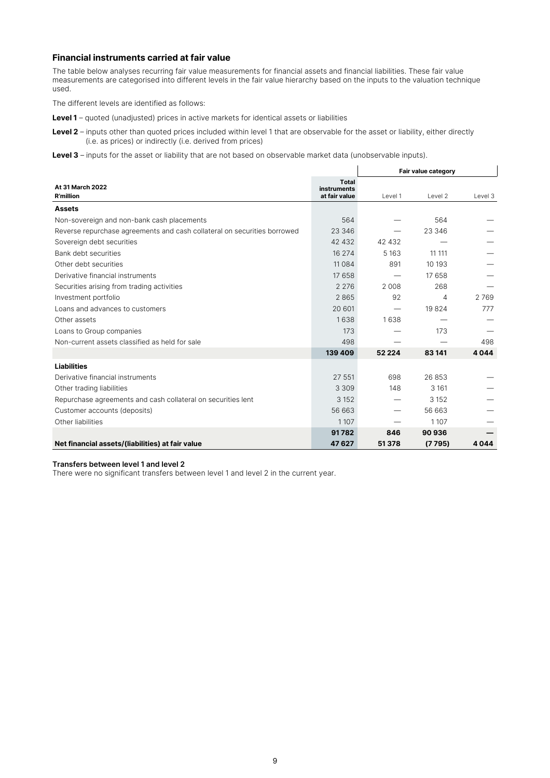### **Financial instruments carried at fair value**

The table below analyses recurring fair value measurements for financial assets and financial liabilities. These fair value measurements are categorised into different levels in the fair value hierarchy based on the inputs to the valuation technique used.

The different levels are identified as follows:

**Level 1** – quoted (unadjusted) prices in active markets for identical assets or liabilities

- Level 2 inputs other than quoted prices included within level 1 that are observable for the asset or liability, either directly (i.e. as prices) or indirectly (i.e. derived from prices)
- Level 3 inputs for the asset or liability that are not based on observable market data (unobservable inputs).

|                                                                          |                                              | Fair value category |         |         |
|--------------------------------------------------------------------------|----------------------------------------------|---------------------|---------|---------|
| At 31 March 2022<br><b>R'million</b>                                     | Total<br><b>instruments</b><br>at fair value | Level 1             | Level 2 | Level 3 |
| <b>Assets</b>                                                            |                                              |                     |         |         |
| Non-sovereign and non-bank cash placements                               | 564                                          |                     | 564     |         |
| Reverse repurchase agreements and cash collateral on securities borrowed | 23 346                                       |                     | 23 346  |         |
| Sovereign debt securities                                                | 42 432                                       | 42 432              |         |         |
| Bank debt securities                                                     | 16 274                                       | 5 1 6 3             | 11 111  |         |
| Other debt securities                                                    | 11 0 8 4                                     | 891                 | 10 193  |         |
| Derivative financial instruments                                         | 17 658                                       |                     | 17 658  |         |
| Securities arising from trading activities                               | 2 2 7 6                                      | 2 0 0 8             | 268     |         |
| Investment portfolio                                                     | 2865                                         | 92                  | 4       | 2769    |
| Loans and advances to customers                                          | 20 601                                       |                     | 19824   | 777     |
| Other assets                                                             | 1638                                         | 1638                |         |         |
| Loans to Group companies                                                 | 173                                          |                     | 173     |         |
| Non-current assets classified as held for sale                           | 498                                          |                     |         | 498     |
|                                                                          | 139 409                                      | 52 2 2 4            | 83141   | 4044    |
| <b>Liabilities</b>                                                       |                                              |                     |         |         |
| Derivative financial instruments                                         | 27 551                                       | 698                 | 26853   |         |
| Other trading liabilities                                                | 3 3 0 9                                      | 148                 | 3 1 6 1 |         |
| Repurchase agreements and cash collateral on securities lent             | 3 1 5 2                                      |                     | 3 1 5 2 |         |
| Customer accounts (deposits)                                             | 56 663                                       |                     | 56 663  |         |
| Other liabilities                                                        | 1 1 0 7                                      |                     | 1107    |         |
|                                                                          | 91782                                        | 846                 | 90936   |         |
| Net financial assets/(liabilities) at fair value                         | 47627                                        | 51378               | (7795)  | 4044    |

#### **Transfers between level 1 and level 2**

There were no significant transfers between level 1 and level 2 in the current year.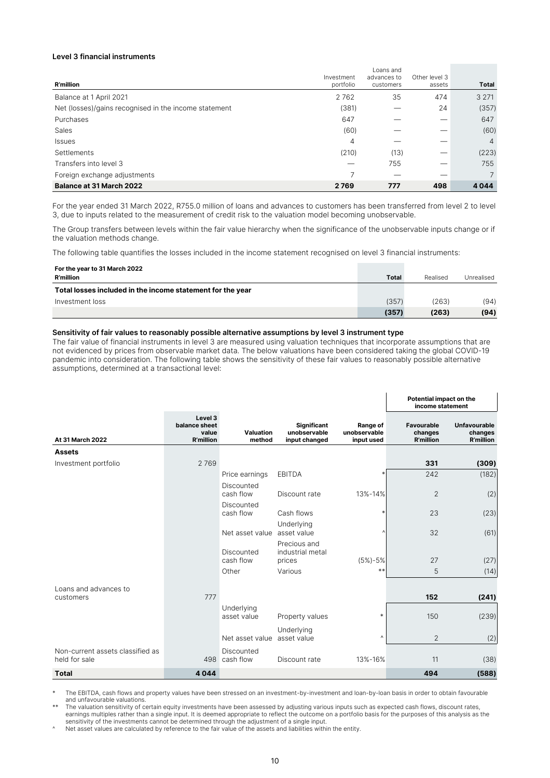### **Level 3 financial instruments**

|                                                       | Investment | Loans and<br>advances to | Other level 3 |                |
|-------------------------------------------------------|------------|--------------------------|---------------|----------------|
| <b>R'million</b>                                      | portfolio  | customers                | assets        | <b>Total</b>   |
| Balance at 1 April 2021                               | 2762       | 35                       | 474           | 3 2 7 1        |
| Net (losses)/gains recognised in the income statement | (381)      |                          | 24            | (357)          |
| Purchases                                             | 647        |                          | –             | 647            |
| Sales                                                 | (60)       |                          |               | (60)           |
| Issues                                                | 4          |                          |               | $\overline{4}$ |
| Settlements                                           | (210)      | (13)                     |               | (223)          |
| Transfers into level 3                                |            | 755                      |               | 755            |
| Foreign exchange adjustments                          | ∍          |                          |               | 7              |
| <b>Balance at 31 March 2022</b>                       | 2769       | 777                      | 498           | 4044           |

For the year ended 31 March 2022, R755.0 million of loans and advances to customers has been transferred from level 2 to level 3, due to inputs related to the measurement of credit risk to the valuation model becoming unobservable.

The Group transfers between levels within the fair value hierarchy when the significance of the unobservable inputs change or if the valuation methods change.

The following table quantifies the losses included in the income statement recognised on level 3 financial instruments:

| For the year to 31 March 2022                              |              |          |            |
|------------------------------------------------------------|--------------|----------|------------|
| <b>R'million</b>                                           | <b>Total</b> | Realised | Unrealised |
| Total losses included in the income statement for the year |              |          |            |
| Investment loss                                            | (357)        | (263)    | (94)       |
|                                                            | (357)        | (263)    | (94)       |

### **Sensitivity of fair values to reasonably possible alternative assumptions by level 3 instrument type**

The fair value of financial instruments in level 3 are measured using valuation techniques that incorporate assumptions that are not evidenced by prices from observable market data. The below valuations have been considered taking the global COVID-19 pandemic into consideration. The following table shows the sensitivity of these fair values to reasonably possible alternative assumptions, determined at a transactional level:

|                                                   |                                                       |                           |                                                     |                                        | Potential impact on the<br>income statement |                                             |
|---------------------------------------------------|-------------------------------------------------------|---------------------------|-----------------------------------------------------|----------------------------------------|---------------------------------------------|---------------------------------------------|
| At 31 March 2022                                  | Level 3<br>balance sheet<br>value<br><b>R'million</b> | Valuation<br>method       | <b>Significant</b><br>unobservable<br>input changed | Range of<br>unobservable<br>input used | Favourable<br>changes<br><b>R'million</b>   | Unfavourable<br>changes<br><b>R'million</b> |
| <b>Assets</b>                                     |                                                       |                           |                                                     |                                        |                                             |                                             |
| Investment portfolio                              | 2769                                                  |                           |                                                     |                                        | 331                                         | (309)                                       |
|                                                   |                                                       | Price earnings            | <b>EBITDA</b>                                       | $\ast$                                 | 242                                         | (182)                                       |
|                                                   |                                                       | Discounted<br>cash flow   | Discount rate                                       | 13%-14%                                | $\mathbf{2}$                                | (2)                                         |
|                                                   |                                                       | Discounted<br>cash flow   | Cash flows                                          | $\ast$                                 | 23                                          | (23)                                        |
|                                                   |                                                       | Net asset value           | Underlying<br>asset value                           | v                                      | 32                                          | (61)                                        |
|                                                   |                                                       | Discounted<br>cash flow   | Precious and<br>industrial metal<br>prices          | $(5\%) - 5\%$                          | 27                                          | (27)                                        |
|                                                   |                                                       | Other                     | Various                                             | $**$                                   | 5                                           | (14)                                        |
| Loans and advances to<br>customers                | 777                                                   |                           |                                                     |                                        | 152                                         | (241)                                       |
|                                                   |                                                       | Underlying<br>asset value | Property values                                     | $\ast$                                 | 150                                         | (239)                                       |
|                                                   |                                                       | Net asset value           | Underlying<br>asset value                           | Λ                                      | $\overline{2}$                              | (2)                                         |
| Non-current assets classified as<br>held for sale | 498                                                   | Discounted<br>cash flow   | Discount rate                                       | 13%-16%                                | 11                                          | (38)                                        |
| <b>Total</b>                                      | 4044                                                  |                           |                                                     |                                        | 494                                         | (588)                                       |

The EBITDA, cash flows and property values have been stressed on an investment-by-investment and loan-by-loan basis in order to obtain favourable and unfavourable valuations.

The valuation sensitivity of certain equity investments have been assessed by adjusting various inputs such as expected cash flows, discount rates,<br>earnings multiples rather than a single input. It is deemed appropriate to sensitivity of the investments cannot be determined through the adjustment of a single input.

^ Net asset values are calculated by reference to the fair value of the assets and liabilities within the entity.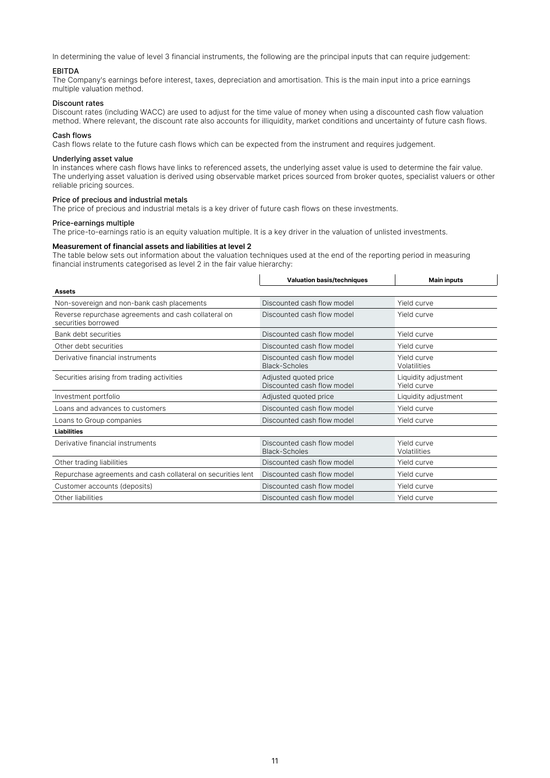In determining the value of level 3 financial instruments, the following are the principal inputs that can require judgement:

### EBITDA

The Company's earnings before interest, taxes, depreciation and amortisation. This is the main input into a price earnings multiple valuation method.

#### Discount rates

Discount rates (including WACC) are used to adjust for the time value of money when using a discounted cash flow valuation method. Where relevant, the discount rate also accounts for illiquidity, market conditions and uncertainty of future cash flows.

### Cash flows

Cash flows relate to the future cash flows which can be expected from the instrument and requires judgement.

### Underlying asset value

In instances where cash flows have links to referenced assets, the underlying asset value is used to determine the fair value. The underlying asset valuation is derived using observable market prices sourced from broker quotes, specialist valuers or other reliable pricing sources.

### Price of precious and industrial metals

The price of precious and industrial metals is a key driver of future cash flows on these investments.

#### Price-earnings multiple

The price-to-earnings ratio is an equity valuation multiple. It is a key driver in the valuation of unlisted investments.

#### **Measurement of financial assets and liabilities at level 2**

The table below sets out information about the valuation techniques used at the end of the reporting period in measuring financial instruments categorised as level 2 in the fair value hierarchy:  $\overline{1}$ 

 $\overline{1}$ 

 $\overline{1}$ 

|                                                                             | <b>Valuation basis/techniques</b>                   | <b>Main inputs</b>                  |
|-----------------------------------------------------------------------------|-----------------------------------------------------|-------------------------------------|
| Assets                                                                      |                                                     |                                     |
| Non-sovereign and non-bank cash placements                                  | Discounted cash flow model                          | Yield curve                         |
| Reverse repurchase agreements and cash collateral on<br>securities borrowed | Discounted cash flow model                          | Yield curve                         |
| Bank debt securities                                                        | Discounted cash flow model                          | Yield curve                         |
| Other debt securities                                                       | Discounted cash flow model                          | Yield curve                         |
| Derivative financial instruments                                            | Discounted cash flow model<br><b>Black-Scholes</b>  | Yield curve<br>Volatilities         |
| Securities arising from trading activities                                  | Adjusted quoted price<br>Discounted cash flow model | Liquidity adjustment<br>Yield curve |
| Investment portfolio                                                        | Adjusted quoted price                               | Liquidity adjustment                |
| Loans and advances to customers                                             | Discounted cash flow model                          | Yield curve                         |
| Loans to Group companies                                                    | Discounted cash flow model                          | Yield curve                         |
| <b>Liabilities</b>                                                          |                                                     |                                     |
| Derivative financial instruments                                            | Discounted cash flow model<br><b>Black-Scholes</b>  | Yield curve<br>Volatilities         |
| Other trading liabilities                                                   | Discounted cash flow model                          | Yield curve                         |
| Repurchase agreements and cash collateral on securities lent                | Discounted cash flow model                          | Yield curve                         |
| Customer accounts (deposits)                                                | Discounted cash flow model                          | Yield curve                         |
| Other liabilities                                                           | Discounted cash flow model                          | Yield curve                         |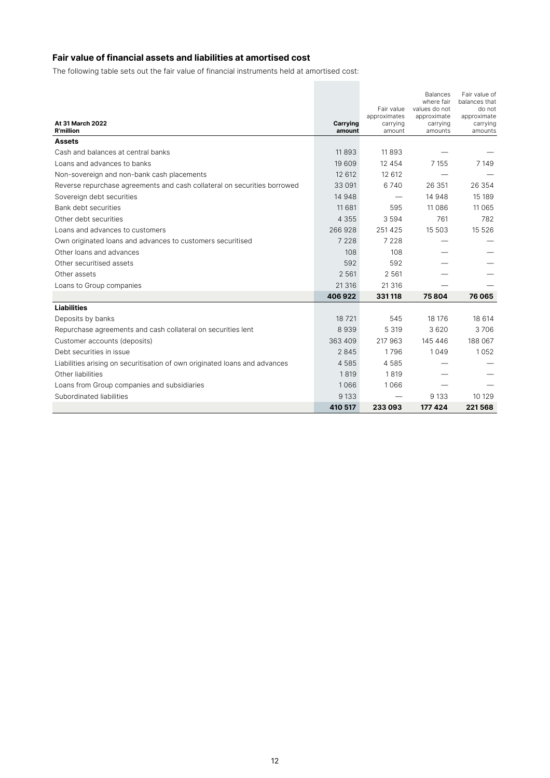### **Fair value of financial assets and liabilities at amortised cost**

The following table sets out the fair value of financial instruments held at amortised cost:

|                                                                            |          |                            | <b>Balances</b><br>where fair | Fair value of<br>balances that |
|----------------------------------------------------------------------------|----------|----------------------------|-------------------------------|--------------------------------|
|                                                                            |          | Fair value<br>approximates | values do not<br>approximate  | do not<br>approximate          |
| <b>At 31 March 2022</b>                                                    | Carrying | carrying                   | carrying                      | carrying                       |
| <b>R'million</b>                                                           | amount   | amount                     | amounts                       | amounts                        |
| <b>Assets</b>                                                              |          |                            |                               |                                |
| Cash and balances at central banks                                         | 11893    | 11893                      |                               |                                |
| Loans and advances to banks                                                | 19 609   | 12 454                     | 7 1 5 5                       | 7 1 4 9                        |
| Non-sovereign and non-bank cash placements                                 | 12 612   | 12 612                     |                               |                                |
| Reverse repurchase agreements and cash collateral on securities borrowed   | 33 091   | 6740                       | 26 351                        | 26 354                         |
| Sovereign debt securities                                                  | 14 948   |                            | 14 948                        | 15 189                         |
| Bank debt securities                                                       | 11 681   | 595                        | 11 0 8 6                      | 11 0 65                        |
| Other debt securities                                                      | 4 3 5 5  | 3 5 9 4                    | 761                           | 782                            |
| Loans and advances to customers                                            | 266928   | 251 425                    | 15 503                        | 15 5 26                        |
| Own originated loans and advances to customers securitised                 | 7 2 2 8  | 7 2 2 8                    |                               |                                |
| Other loans and advances                                                   | 108      | 108                        |                               |                                |
| Other securitised assets                                                   | 592      | 592                        |                               |                                |
| Other assets                                                               | 2 5 6 1  | 2 5 6 1                    |                               |                                |
| Loans to Group companies                                                   | 21 316   | 21 316                     |                               |                                |
|                                                                            | 406922   | 331118                     | 75804                         | 76065                          |
| <b>Liabilities</b>                                                         |          |                            |                               |                                |
| Deposits by banks                                                          | 18721    | 545                        | 18 17 6                       | 18 614                         |
| Repurchase agreements and cash collateral on securities lent               | 8939     | 5 3 1 9                    | 3620                          | 3706                           |
| Customer accounts (deposits)                                               | 363 409  | 217 963                    | 145 446                       | 188 067                        |
| Debt securities in issue                                                   | 2845     | 1796                       | 1049                          | 1052                           |
| Liabilities arising on securitisation of own originated loans and advances | 4585     | 4585                       |                               |                                |
| Other liabilities                                                          | 1819     | 1819                       |                               |                                |
| Loans from Group companies and subsidiaries                                | 1066     | 1066                       |                               |                                |
| Subordinated liabilities                                                   | 9 1 3 3  |                            | 9 1 3 3                       | 10 129                         |
|                                                                            | 410 517  | 233093                     | 177 424                       | 221568                         |